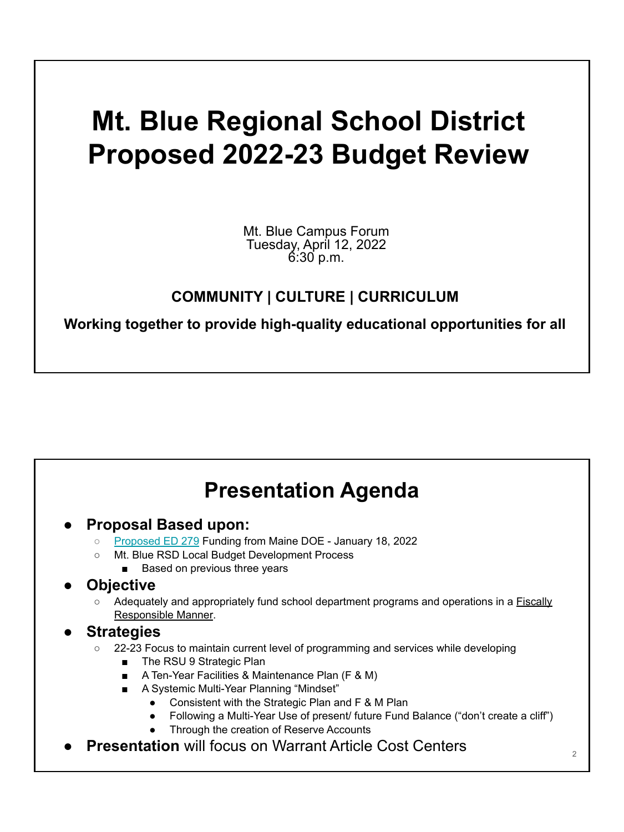# **Mt. Blue Regional School District Proposed 2022-23 Budget Review**

Mt. Blue Campus Forum Tuesday, April 12, 2022 6:30 p.m.

#### **COMMUNITY | CULTURE | CURRICULUM**

**Working together to provide high-quality educational opportunities for all**

## **Presentation Agenda**

- **● Proposal Based upon:**
	- [Proposed ED 279](https://drive.google.com/file/d/1wgz3oXeohTPTq26Ev6okc3Hs0PxYJG7Z/view?usp=sharing) Funding from Maine DOE January 18, 2022
	- Mt. Blue RSD Local Budget Development Process
		- Based on previous three years

#### **● Objective**

○ Adequately and appropriately fund school department programs and operations in a **Fiscally** Responsible Manner.

#### **● Strategies**

- 22-23 Focus to maintain current level of programming and services while developing
	- The RSU 9 Strategic Plan
	- A Ten-Year Facilities & Maintenance Plan (F & M)
	- A Systemic Multi-Year Planning "Mindset"
		- Consistent with the Strategic Plan and F & M Plan
		- Following a Multi-Year Use of present/ future Fund Balance ("don't create a cliff")
		- Through the creation of Reserve Accounts
- **Presentation** will focus on Warrant Article Cost Centers 2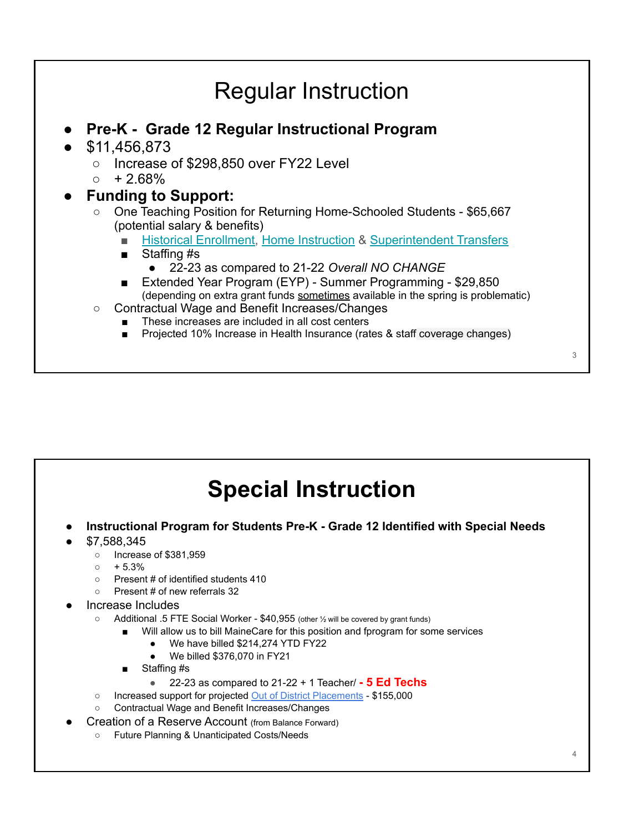#### Regular Instruction **● Pre-K - Grade 12 Regular Instructional Program** ● \$11,456,873 ○ Increase of \$298,850 over FY22 Level  $\circ$  + 2.68% **● Funding to Support:** ○ One Teaching Position for Returning Home-Schooled Students - \$65,667 (potential salary & benefits) ■ [Historical Enrollment,](https://drive.google.com/file/d/1Lref1HA-zLE6maGNrktlN8x43xR5AkQi/view?usp=sharing) [Home Instruction](https://drive.google.com/file/d/1qLMvXSLmoXw-ill9yZDGqcIU_pH8fXKu/view?usp=sharing) & [Superintendent Transfers](https://drive.google.com/file/d/1Y9CCmUxNAxDDp-nE8KHyrvqOWCyAxcUw/view?usp=sharing) Staffing #s ● 22-23 as compared to 21-22 *Overall NO CHANGE* ■ Extended Year Program (EYP) - Summer Programming - \$29,850 (depending on extra grant funds sometimes available in the spring is problematic) ○ Contractual Wage and Benefit Increases/Changes These increases are included in all cost centers Projected 10% Increase in Health Insurance (rates & staff coverage changes) 3

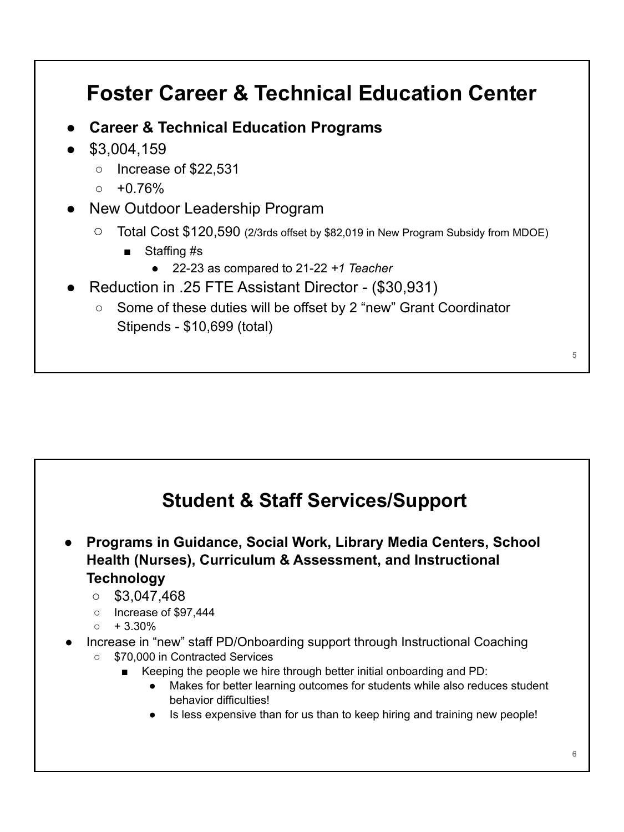# **Foster Career & Technical Education Center**

- **● Career & Technical Education Programs**
- \$3,004,159
	- Increase of \$22,531
	- $0 + 0.76%$
- New Outdoor Leadership Program
	- Total Cost \$120,590 (2/3rds offset by \$82,019 in New Program Subsidy from MDOE)
		- Staffing #s
			- 22-23 as compared to 21-22 *+1 Teacher*
- Reduction in .25 FTE Assistant Director (\$30,931)
	- Some of these duties will be offset by 2 "new" Grant Coordinator Stipends - \$10,699 (total)

## **Student & Staff Services/Support ● Programs in Guidance, Social Work, Library Media Centers, School Health (Nurses), Curriculum & Assessment, and Instructional Technology**  $\circ$  \$3,047,468 ○ Increase of \$97,444  $\circ$  + 3.30% Increase in "new" staff PD/Onboarding support through Instructional Coaching ○ \$70,000 in Contracted Services Keeping the people we hire through better initial onboarding and PD: ● Makes for better learning outcomes for students while also reduces student behavior difficulties! ● Is less expensive than for us than to keep hiring and training new people! 6

5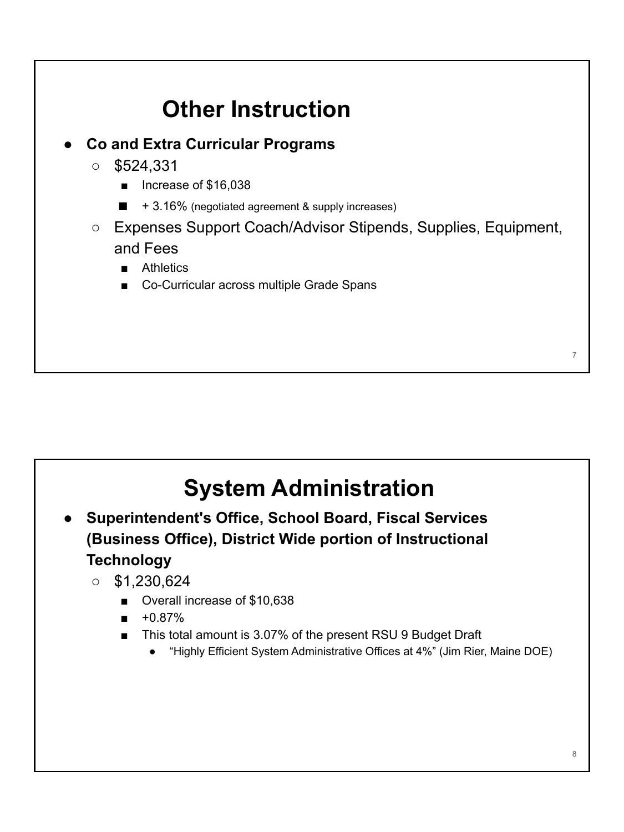



- **● Superintendent's Office, School Board, Fiscal Services (Business Office), District Wide portion of Instructional Technology**
	- $\circ$  \$1,230,624
		- Overall increase of \$10,638
		- +0.87%
		- This total amount is 3.07% of the present RSU 9 Budget Draft
			- "Highly Efficient System Administrative Offices at 4%" (Jim Rier, Maine DOE)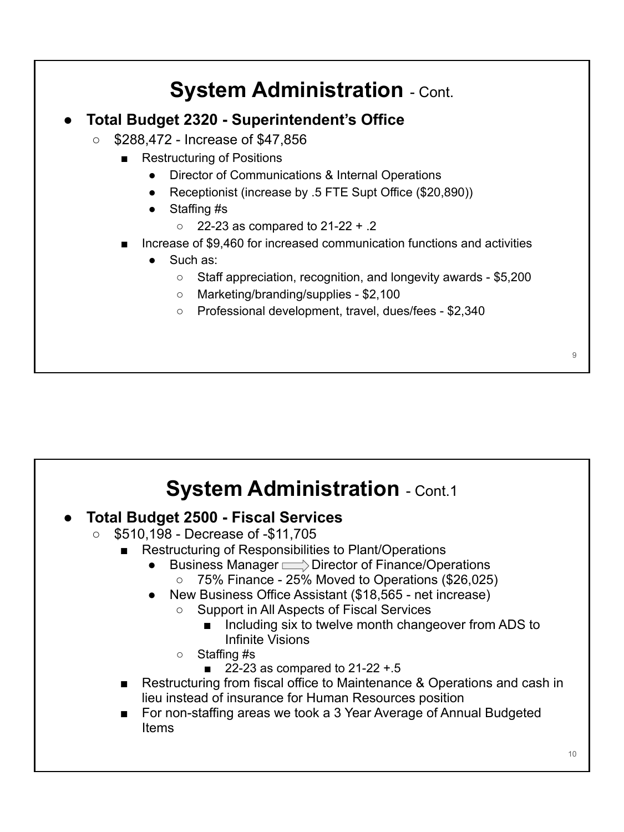## **System Administration - Cont. ● Total Budget 2320 - Superintendent's Office** ○ \$288,472 - Increase of \$47,856 **Restructuring of Positions** ● Director of Communications & Internal Operations Receptionist (increase by .5 FTE Supt Office (\$20,890)) ● Staffing #s  $\circ$  22-23 as compared to 21-22 + .2 Increase of \$9,460 for increased communication functions and activities Such as: ○ Staff appreciation, recognition, and longevity awards - \$5,200 ○ Marketing/branding/supplies - \$2,100 ○ Professional development, travel, dues/fees - \$2,340

## **● Total Budget 2500 - Fiscal Services**

- \$510,198 Decrease of -\$11,705
	- Restructuring of Responsibilities to Plant/Operations
		- Business Manager  $\Longrightarrow$  Director of Finance/Operations
			- $\circ$  75% Finance 25% Moved to Operations (\$26,025)
		- New Business Office Assistant (\$18,565 net increase)
			- Support in All Aspects of Fiscal Services
				- Including six to twelve month changeover from ADS to Infinite Visions
			- Staffing #s
				- 22-23 as compared to  $21-22 + 5$
	- Restructuring from fiscal office to Maintenance & Operations and cash in lieu instead of insurance for Human Resources position
	- For non-staffing areas we took a 3 Year Average of Annual Budgeted Items

 $\overline{Q}$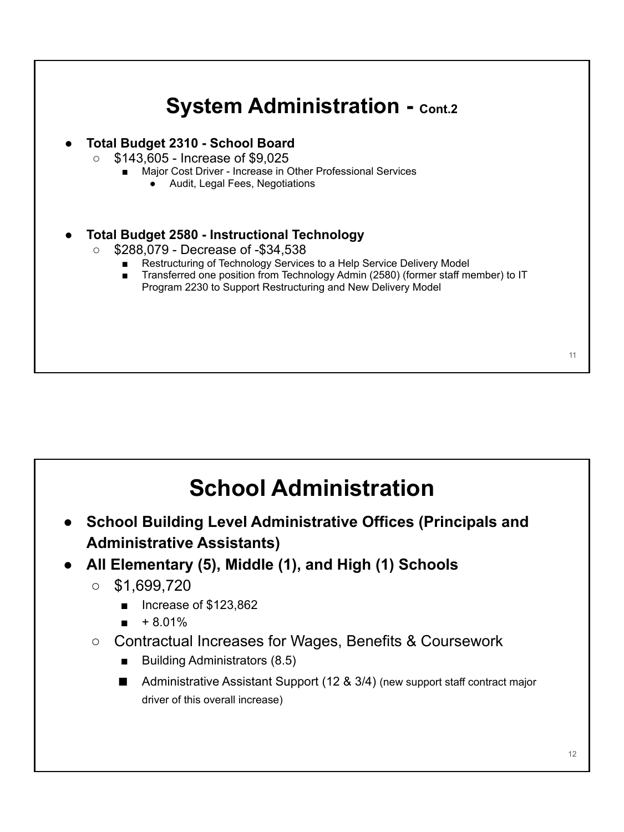

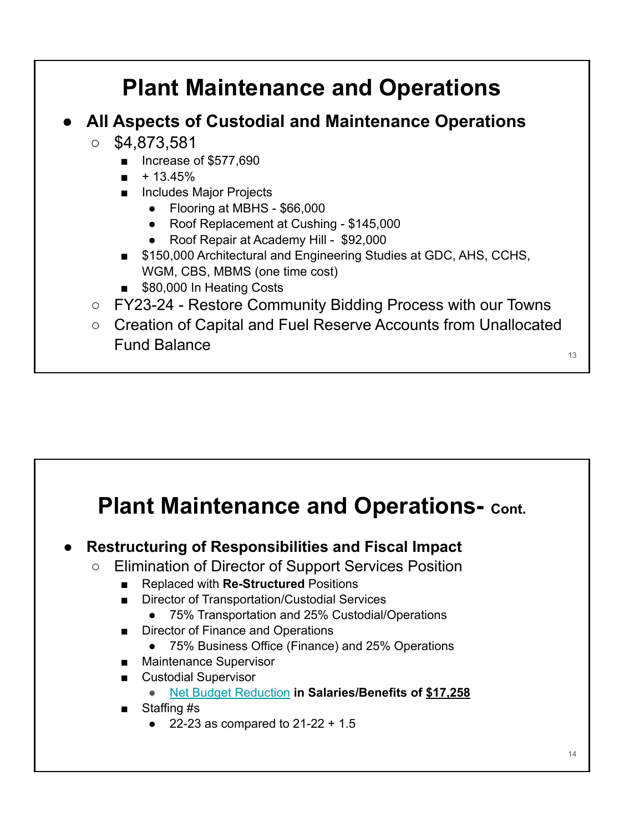# **Plant Maintenance and Operations**

## **● All Aspects of Custodial and Maintenance Operations**

- $\circ$  \$4,873,581
	- Increase of \$577,690
	- $+13.45%$
	- Includes Major Projects
		- Flooring at MBHS \$66,000
		- Roof Replacement at Cushing \$145,000
		- Roof Repair at Academy Hill \$92,000
	- \$150,000 Architectural and Engineering Studies at GDC, AHS, CCHS, WGM, CBS, MBMS (one time cost)
	- \$80,000 In Heating Costs
- FY23-24 Restore Community Bidding Process with our Towns
- Creation of Capital and Fuel Reserve Accounts from Unallocated Fund Balance

# **Plant Maintenance and Operations- Cont.**

- **● Restructuring of Responsibilities and Fiscal Impact**
	- Elimination of Director of Support Services Position
		- Replaced with **Re-Structured** Positions
		- **Director of Transportation/Custodial Services** 
			- 75% Transportation and 25% Custodial/Operations
		- **Director of Finance and Operations** 
			- 75% Business Office (Finance) and 25% Operations
		- Maintenance Supervisor
		- Custodial Supervisor
			- **●** [Net Budget Reduction](https://drive.google.com/file/d/1YMCVmTD1aGl1uNozBYp1kWNDrYumF33h/view?usp=sharing) **in Salaries/Benefits of \$17,258**
		- Staffing #s
			- 22-23 as compared to  $21-22 + 1.5$

13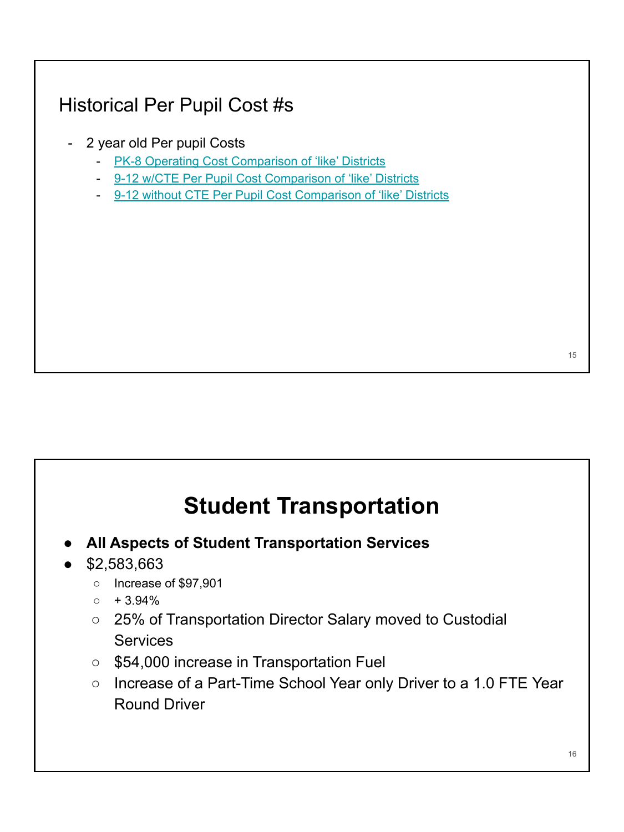## Historical Per Pupil Cost #s

- 2 year old Per pupil Costs
	- [PK-8 Operating Cost Comparison of 'like' Districts](https://drive.google.com/file/d/1H8qG9fi0pieytj2ryBzPu4MiJJoypAYC/view?usp=sharing)
	- [9-12 w/CTE Per Pupil Cost Comparison of 'like' Districts](https://drive.google.com/file/d/1IUhiDwVTWI9A36QDXcfstDUPvuLrvtFv/view?usp=sharing)
	- [9-12 without CTE Per Pupil Cost Comparison of 'like' Districts](https://drive.google.com/file/d/1KAIaxff41m_RZZ2LP0uSb9yE-uG6I_Wt/view?usp=sharing)

# **Student Transportation**

**● All Aspects of Student Transportation Services**

#### ● \$2,583,663

- Increase of \$97,901
- $\circ$  + 3.94%
- 25% of Transportation Director Salary moved to Custodial **Services**
- \$54,000 increase in Transportation Fuel
- Increase of a Part-Time School Year only Driver to a 1.0 FTE Year Round Driver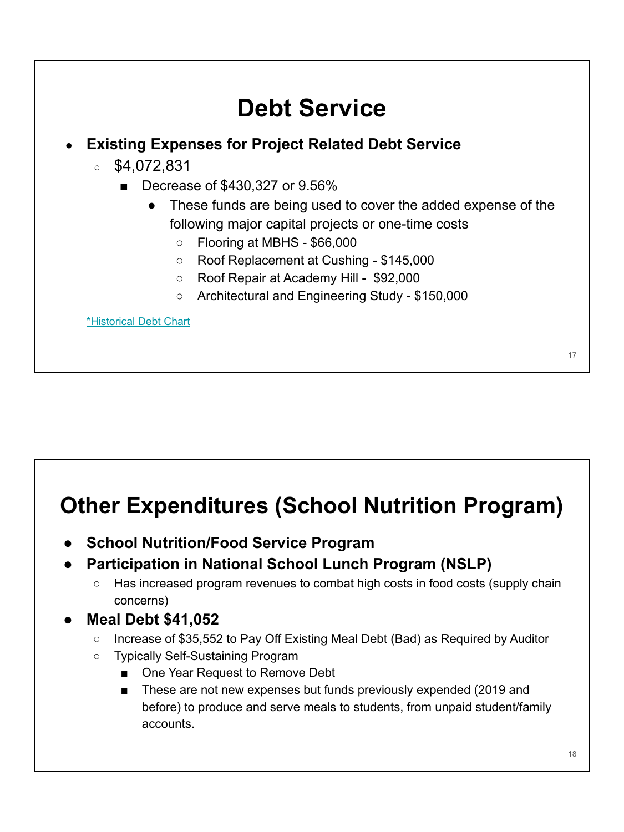# **Debt Service ● Existing Expenses for Project Related Debt Service**  $\circ$  \$4,072,831 ■ Decrease of \$430,327 or 9.56% ● These funds are being used to cover the added expense of the following major capital projects or one-time costs ○ Flooring at MBHS - \$66,000 ○ Roof Replacement at Cushing - \$145,000 ○ Roof Repair at Academy Hill - \$92,000 ○ Architectural and Engineering Study - \$150,000 [\\*Historical Debt Chart](https://drive.google.com/file/d/17kU2C1ph2cl9RO-UOqjXo_yiJlmBWGT8/view?usp=sharing) 17

# **Other Expenditures (School Nutrition Program)**

- **School Nutrition/Food Service Program**
- **● Participation in National School Lunch Program (NSLP)**
	- Has increased program revenues to combat high costs in food costs (supply chain concerns)

## **● Meal Debt \$41,052**

- Increase of \$35,552 to Pay Off Existing Meal Debt (Bad) as Required by Auditor
- Typically Self-Sustaining Program
	- One Year Request to Remove Debt
		- These are not new expenses but funds previously expended (2019 and before) to produce and serve meals to students, from unpaid student/family accounts.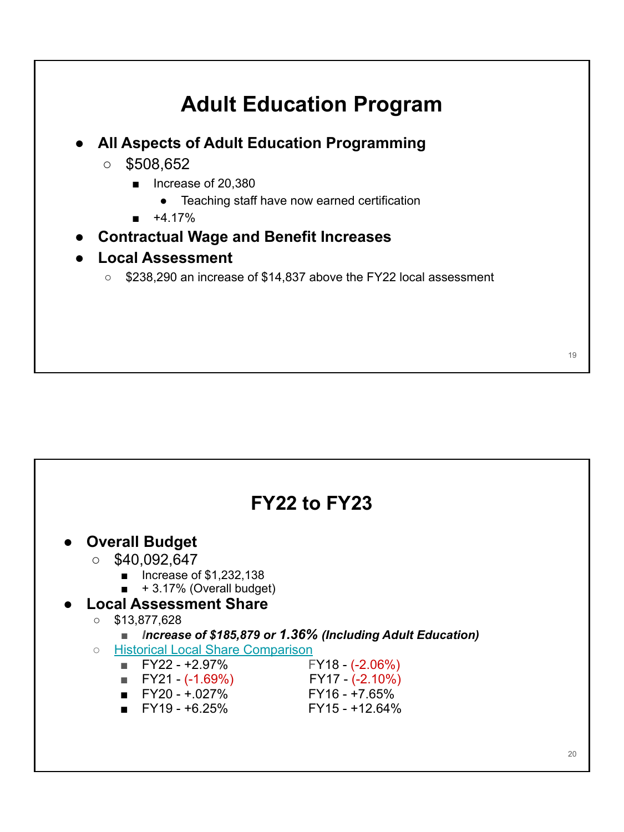

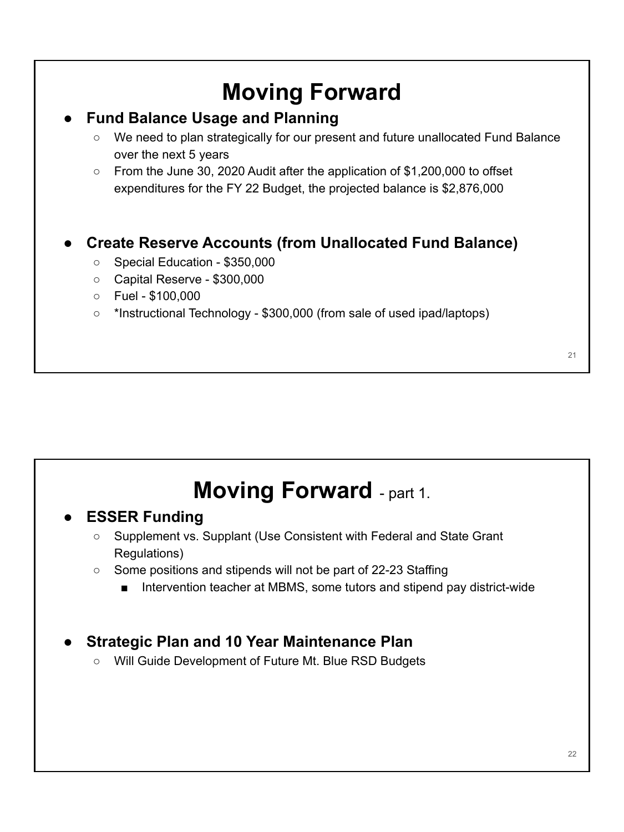## **Moving Forward ● Fund Balance Usage and Planning** ○ We need to plan strategically for our present and future unallocated Fund Balance over the next 5 years ○ From the June 30, 2020 Audit after the application of \$1,200,000 to offset expenditures for the FY 22 Budget, the projected balance is \$2,876,000 **● Create Reserve Accounts (from Unallocated Fund Balance)** ○ Special Education - \$350,000 ○ Capital Reserve - \$300,000  $\circ$  Fuel - \$100,000 ○ \*Instructional Technology - \$300,000 (from sale of used ipad/laptops) 21

## **Moving Forward** - part 1.

#### **● ESSER Funding**

- Supplement vs. Supplant (Use Consistent with Federal and State Grant Regulations)
- Some positions and stipends will not be part of 22-23 Staffing
	- Intervention teacher at MBMS, some tutors and stipend pay district-wide

## **● Strategic Plan and 10 Year Maintenance Plan**

○ Will Guide Development of Future Mt. Blue RSD Budgets